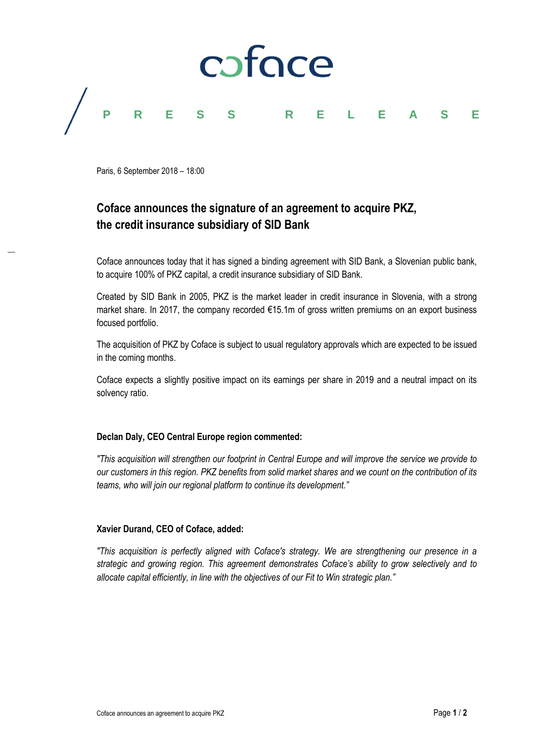

Paris, 6 September 2018 – 18:00

# **Coface announces the signature of an agreement to acquire PKZ, the credit insurance subsidiary of SID Bank**

Coface announces today that it has signed a binding agreement with SID Bank, a Slovenian public bank, to acquire 100% of PKZ capital, a credit insurance subsidiary of SID Bank.

Created by SID Bank in 2005, PKZ is the market leader in credit insurance in Slovenia, with a strong market share. In 2017, the company recorded €15.1m of gross written premiums on an export business focused portfolio.

The acquisition of PKZ by Coface is subject to usual regulatory approvals which are expected to be issued in the coming months.

Coface expects a slightly positive impact on its earnings per share in 2019 and a neutral impact on its solvency ratio.

# **Declan Daly, CEO Central Europe region commented:**

*"This acquisition will strengthen our footprint in Central Europe and will improve the service we provide to our customers in this region. PKZ benefits from solid market shares and we count on the contribution of its teams, who will join our regional platform to continue its development."*

# **Xavier Durand, CEO of Coface, added:**

*"This acquisition is perfectly aligned with Coface's strategy. We are strengthening our presence in a strategic and growing region. This agreement demonstrates Coface's ability to grow selectively and to allocate capital efficiently, in line with the objectives of our Fit to Win strategic plan."*